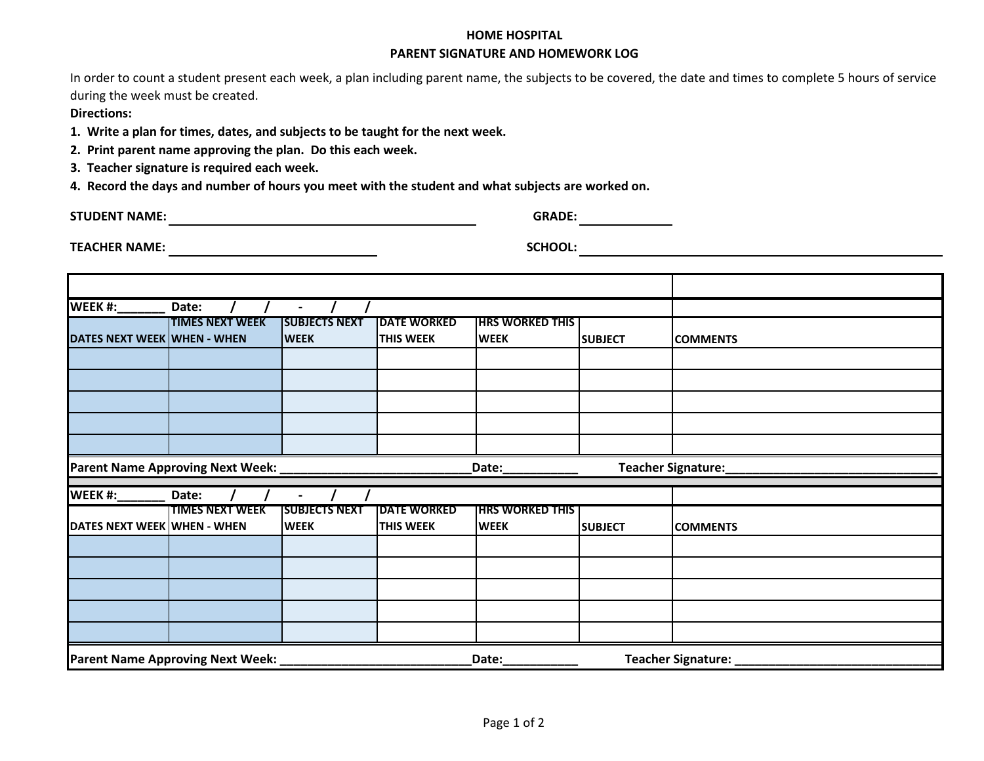## **HOME HOSPITAL PARENT SIGNATURE AND HOMEWORK LOG**

 during the week must be created. In order to count a student present each week, a plan including parent name, the subjects to be covered, the date and times to complete 5 hours of service

**Directions:** 

**1. Write a plan for times, dates, and subjects to be taught for the next week.**

**2. Print parent name approving the plan. Do this each week.**

**3. Teacher signature is required each week.**

**4. Record the days and number of hours you meet with the student and what subjects are worked on.**

**STUDENT NAME: GRADE:** 

TEACHER NAME: **A CONSIDER SCHOOL:** SCHOOL: **Internal Constant Constant Constant Constant Constant Constant Constant Constant Constant Constant Constant Constant Constant Constant Constant Constant Constant Constant Constan** 

| <b>WEEK #:</b>              | Date:                            | $\blacksquare$       |                    |                         |                |                    |
|-----------------------------|----------------------------------|----------------------|--------------------|-------------------------|----------------|--------------------|
|                             | <b>TIMES NEXT WEEK</b>           | <b>SUBJECTS NEXT</b> | <b>DATE WORKED</b> | <b>THRS WORKED THIS</b> |                |                    |
| DATES NEXT WEEK WHEN - WHEN |                                  | <b>WEEK</b>          | <b>THIS WEEK</b>   | <b>WEEK</b>             | <b>SUBJECT</b> | <b>COMMENTS</b>    |
|                             |                                  |                      |                    |                         |                |                    |
|                             |                                  |                      |                    |                         |                |                    |
|                             |                                  |                      |                    |                         |                |                    |
|                             |                                  |                      |                    |                         |                |                    |
|                             |                                  |                      |                    |                         |                |                    |
|                             | Parent Name Approving Next Week: |                      |                    | Date:                   |                | Teacher Signature: |
|                             |                                  |                      |                    |                         |                |                    |
| <b>WEEK #:</b>              | Date:                            |                      |                    |                         |                |                    |
|                             | <b>TIMES NEXT WEEK</b>           | <b>SUBJECTS NEXT</b> | <b>DATE WORKED</b> | <b>HRS WORKED THIS</b>  |                |                    |
|                             |                                  | <b>WEEK</b>          | <b>THIS WEEK</b>   | <b>WEEK</b>             | <b>SUBJECT</b> | <b>COMMENTS</b>    |
|                             |                                  |                      |                    |                         |                |                    |
|                             |                                  |                      |                    |                         |                |                    |
|                             |                                  |                      |                    |                         |                |                    |
|                             |                                  |                      |                    |                         |                |                    |
| DATES NEXT WEEK WHEN - WHEN |                                  |                      |                    |                         |                |                    |